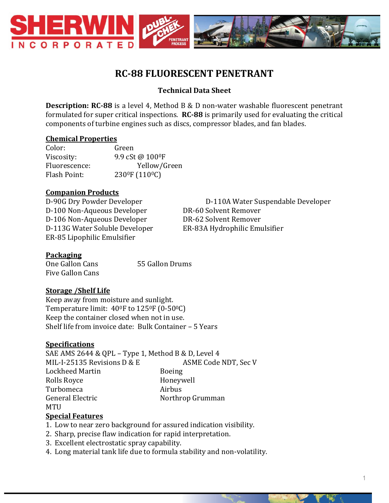

# **RC-88 FLUORESCENT PENETRANT**

# **Technical Data Sheet**

**Description: RC-88** is a level 4, Method B & D non-water washable fluorescent penetrant formulated for super critical inspections. **RC-88** is primarily used for evaluating the critical components of turbine engines such as discs, compressor blades, and fan blades.

#### **Chemical Properties**

| Color:        | Green                                   |
|---------------|-----------------------------------------|
| Viscosity:    | 9.9 cSt @ 100 <sup>o</sup> F            |
| Fluorescence: | Yellow/Green                            |
| Flash Point:  | 230 <sup>°</sup> F (110 <sup>°</sup> C) |

# **Companion Products**

D-100 Non-Aqueous Developer DR-60 Solvent Remover D-106 Non-Aqueous Developer DR-62 Solvent Remover D-113G Water Soluble Developer ER-83A Hydrophilic Emulsifier ER-85 Lipophilic Emulsifier

D-90G Dry Powder Developer D-110A Water Suspendable Developer

# **Packaging**

One Gallon Cans 55 Gallon Drums Five Gallon Cans

#### **Storage /Shelf Life**

Keep away from moisture and sunlight. Temperature limit:  $40^{\circ}$ F to  $125^{\circ}$ F (0-50 $^{\circ}$ C) Keep the container closed when not in use. Shelf life from invoice date: Bulk Container – 5 Years

#### **Specifications**

SAE AMS 2644 & QPL – Type 1, Method B & D, Level 4 MIL-I-25135 Revisions D & E ASME Code NDT, Sec V Lockheed Martin Boeing Rolls Royce **Honeywell** Turbomeca Airbus General Electric Northrop Grumman MTU

#### **Special Features**

- 1. Low to near zero background for assured indication visibility.
- 2. Sharp, precise flaw indication for rapid interpretation.
- 3. Excellent electrostatic spray capability.
- 4. Long material tank life due to formula stability and non-volatility.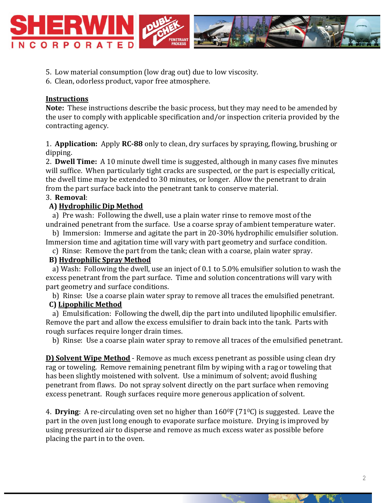

- 5. Low material consumption (low drag out) due to low viscosity.
- 6. Clean, odorless product, vapor free atmosphere.

# **Instructions**

**Note:** These instructions describe the basic process, but they may need to be amended by the user to comply with applicable specification and/or inspection criteria provided by the contracting agency.

1. **Application:** Apply **RC-88** only to clean, dry surfaces by spraying, flowing, brushing or dipping.

2. **Dwell Time:** A 10 minute dwell time is suggested, although in many cases five minutes will suffice. When particularly tight cracks are suspected, or the part is especially critical, the dwell time may be extended to 30 minutes, or longer. Allow the penetrant to drain from the part surface back into the penetrant tank to conserve material.

### 3. **Removal**:

#### **A) Hydrophilic Dip Method**

 a) Pre wash: Following the dwell, use a plain water rinse to remove most of the undrained penetrant from the surface. Use a coarse spray of ambient temperature water.

 b) Immersion: Immerse and agitate the part in 20-30% hydrophilic emulsifier solution. Immersion time and agitation time will vary with part geometry and surface condition.

c) Rinse: Remove the part from the tank; clean with a coarse, plain water spray.

# **B) Hydrophilic Spray Method**

 a) Wash: Following the dwell, use an inject of 0.1 to 5.0% emulsifier solution to wash the excess penetrant from the part surface. Time and solution concentrations will vary with part geometry and surface conditions.

b) Rinse: Use a coarse plain water spray to remove all traces the emulsified penetrant.

# **C) Lipophilic Method**

 a) Emulsification: Following the dwell, dip the part into undiluted lipophilic emulsifier. Remove the part and allow the excess emulsifier to drain back into the tank. Parts with rough surfaces require longer drain times.

b) Rinse: Use a coarse plain water spray to remove all traces of the emulsified penetrant.

**D) Solvent Wipe Method** - Remove as much excess penetrant as possible using clean dry rag or toweling. Remove remaining penetrant film by wiping with a rag or toweling that has been slightly moistened with solvent. Use a minimum of solvent; avoid flushing penetrant from flaws. Do not spray solvent directly on the part surface when removing excess penetrant. Rough surfaces require more generous application of solvent.

4. **Drying**: A re-circulating oven set no higher than  $160^\circ$  F (71 $\circ$ C) is suggested. Leave the part in the oven just long enough to evaporate surface moisture. Drying is improved by using pressurized air to disperse and remove as much excess water as possible before placing the part in to the oven.